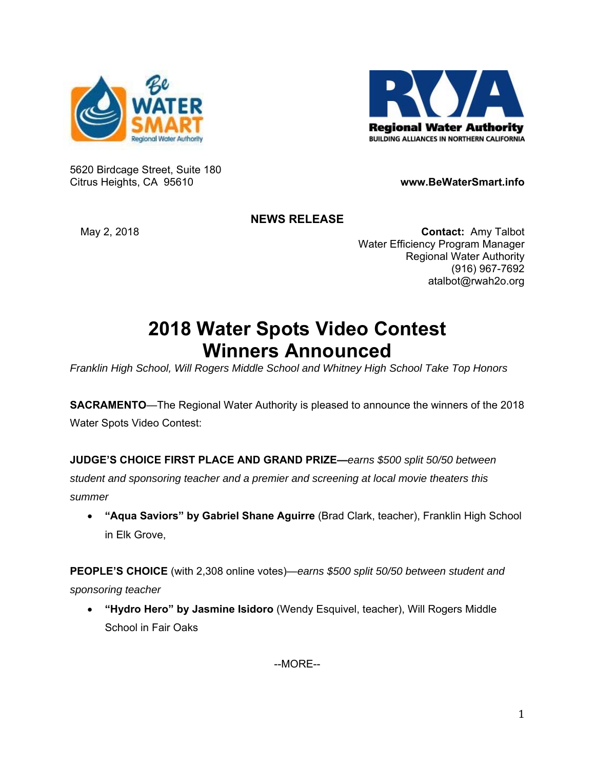



5620 Birdcage Street, Suite 180 Citrus Heights, CA 95610 **www.BeWaterSmart.info** 

## **NEWS RELEASE**

May 2, 2018 **Contact:** Amy Talbot Water Efficiency Program Manager Regional Water Authority (916) 967-7692 atalbot@rwah2o.org

## **2018 Water Spots Video Contest Winners Announced**

*Franklin High School, Will Rogers Middle School and Whitney High School Take Top Honors* 

**SACRAMENTO**—The Regional Water Authority is pleased to announce the winners of the 2018 Water Spots Video Contest:

**JUDGE'S CHOICE FIRST PLACE AND GRAND PRIZE—***earns \$500 split 50/50 between student and sponsoring teacher and a premier and screening at local movie theaters this summer*

 **"Aqua Saviors" by Gabriel Shane Aguirre** (Brad Clark, teacher), Franklin High School in Elk Grove,

**PEOPLE'S CHOICE** (with 2,308 online votes)—*earns \$500 split 50/50 between student and sponsoring teacher* 

 **"Hydro Hero" by Jasmine Isidoro** (Wendy Esquivel, teacher), Will Rogers Middle School in Fair Oaks

--MORE--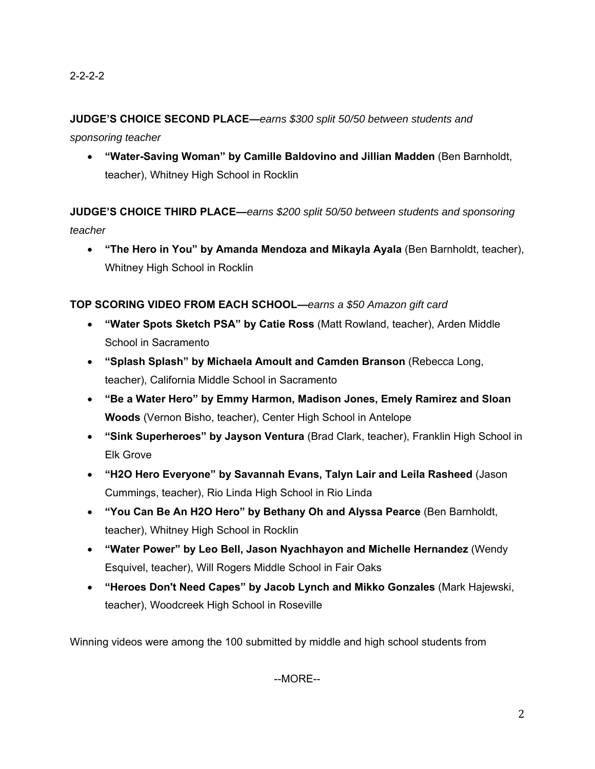## **JUDGE'S CHOICE SECOND PLACE—***earns \$300 split 50/50 between students and*

*sponsoring teacher*

 **"Water-Saving Woman" by Camille Baldovino and Jillian Madden** (Ben Barnholdt, teacher), Whitney High School in Rocklin

**JUDGE'S CHOICE THIRD PLACE—***earns \$200 split 50/50 between students and sponsoring teacher*

 **"The Hero in You" by Amanda Mendoza and Mikayla Ayala** (Ben Barnholdt, teacher), Whitney High School in Rocklin

**TOP SCORING VIDEO FROM EACH SCHOOL—***earns a \$50 Amazon gift card*

- **"Water Spots Sketch PSA" by Catie Ross** (Matt Rowland, teacher), Arden Middle School in Sacramento
- **"Splash Splash" by Michaela Amoult and Camden Branson** (Rebecca Long, teacher), California Middle School in Sacramento
- **"Be a Water Hero" by Emmy Harmon, Madison Jones, Emely Ramirez and Sloan Woods** (Vernon Bisho, teacher), Center High School in Antelope
- **"Sink Superheroes" by Jayson Ventura** (Brad Clark, teacher), Franklin High School in Elk Grove
- **"H2O Hero Everyone" by Savannah Evans, Talyn Lair and Leila Rasheed** (Jason Cummings, teacher), Rio Linda High School in Rio Linda
- **"You Can Be An H2O Hero" by Bethany Oh and Alyssa Pearce** (Ben Barnholdt, teacher), Whitney High School in Rocklin
- **"Water Power" by Leo Bell, Jason Nyachhayon and Michelle Hernandez** (Wendy Esquivel, teacher), Will Rogers Middle School in Fair Oaks
- **"Heroes Don't Need Capes" by Jacob Lynch and Mikko Gonzales** (Mark Hajewski, teacher), Woodcreek High School in Roseville

Winning videos were among the 100 submitted by middle and high school students from

--MORE--